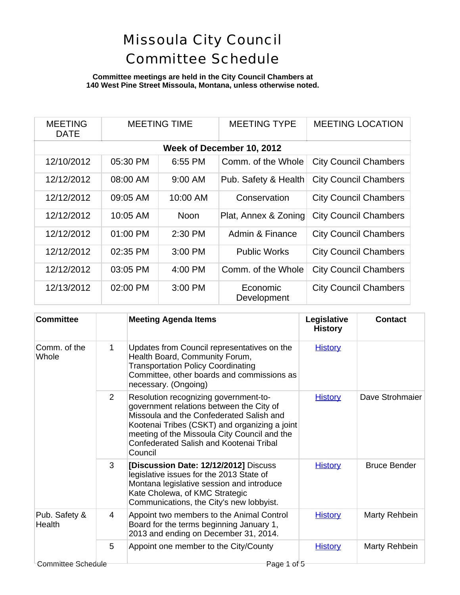### **Committee meetings are held in the City Council Chambers at 140 West Pine Street Missoula, Montana, unless otherwise noted.**

| <b>MEETING</b><br>DATE    | <b>MEETING TIME</b> |             | <b>MEETING TYPE</b>     | <b>MEETING LOCATION</b>      |  |  |  |
|---------------------------|---------------------|-------------|-------------------------|------------------------------|--|--|--|
| Week of December 10, 2012 |                     |             |                         |                              |  |  |  |
| 12/10/2012                | 05:30 PM            | 6:55 PM     | Comm. of the Whole      | <b>City Council Chambers</b> |  |  |  |
| 12/12/2012                | 08:00 AM            | 9:00 AM     | Pub. Safety & Health    | <b>City Council Chambers</b> |  |  |  |
| 12/12/2012                | 09:05 AM            | 10:00 AM    | Conservation            | <b>City Council Chambers</b> |  |  |  |
| 12/12/2012                | 10:05 AM            | <b>Noon</b> | Plat, Annex & Zoning    | <b>City Council Chambers</b> |  |  |  |
| 12/12/2012                | 01:00 PM            | 2:30 PM     | Admin & Finance         | <b>City Council Chambers</b> |  |  |  |
| 12/12/2012                | 02:35 PM            | $3:00$ PM   | <b>Public Works</b>     | <b>City Council Chambers</b> |  |  |  |
| 12/12/2012                | 03:05 PM            | $4:00$ PM   | Comm. of the Whole      | <b>City Council Chambers</b> |  |  |  |
| 12/13/2012                | 02:00 PM            | 3:00 PM     | Economic<br>Development | <b>City Council Chambers</b> |  |  |  |

| <b>Committee</b>                  |                | <b>Meeting Agenda Items</b>                                                                                                                                                                                                                                                          | Legislative<br><b>History</b> | <b>Contact</b>      |
|-----------------------------------|----------------|--------------------------------------------------------------------------------------------------------------------------------------------------------------------------------------------------------------------------------------------------------------------------------------|-------------------------------|---------------------|
| Comm. of the<br>Whole             | 1              | Updates from Council representatives on the<br>Health Board, Community Forum,<br><b>Transportation Policy Coordinating</b><br>Committee, other boards and commissions as<br>necessary. (Ongoing)                                                                                     | <b>History</b>                |                     |
|                                   | $\overline{2}$ | Resolution recognizing government-to-<br>government relations between the City of<br>Missoula and the Confederated Salish and<br>Kootenai Tribes (CSKT) and organizing a joint<br>meeting of the Missoula City Council and the<br>Confederated Salish and Kootenai Tribal<br>Council | <b>History</b>                | Dave Strohmaier     |
|                                   | 3              | [Discussion Date: 12/12/2012] Discuss<br>legislative issues for the 2013 State of<br>Montana legislative session and introduce<br>Kate Cholewa, of KMC Strategic<br>Communications, the City's new lobbyist.                                                                         | <b>History</b>                | <b>Bruce Bender</b> |
| Pub. Safety &<br>Health           | 4              | Appoint two members to the Animal Control<br>Board for the terms beginning January 1,<br>2013 and ending on December 31, 2014.                                                                                                                                                       | <b>History</b>                | Marty Rehbein       |
|                                   | 5              | Appoint one member to the City/County                                                                                                                                                                                                                                                | <b>History</b>                | Marty Rehbein       |
| Committee Schedule<br>Page 1 of 5 |                |                                                                                                                                                                                                                                                                                      |                               |                     |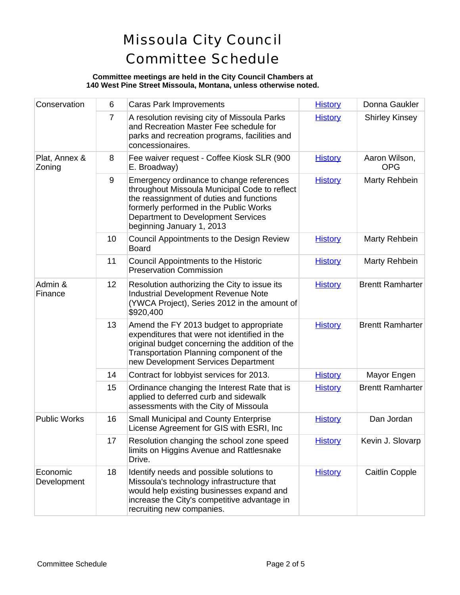#### **Committee meetings are held in the City Council Chambers at 140 West Pine Street Missoula, Montana, unless otherwise noted.**

| Conservation            | 6              | <b>Caras Park Improvements</b>                                                                                                                                                                                                                     | <b>History</b> | Donna Gaukler               |
|-------------------------|----------------|----------------------------------------------------------------------------------------------------------------------------------------------------------------------------------------------------------------------------------------------------|----------------|-----------------------------|
|                         | $\overline{7}$ | A resolution revising city of Missoula Parks<br>and Recreation Master Fee schedule for<br>parks and recreation programs, facilities and<br>concessionaires.                                                                                        | <b>History</b> | <b>Shirley Kinsey</b>       |
| Plat, Annex &<br>Zoning | 8              | Fee waiver request - Coffee Kiosk SLR (900<br>E. Broadway)                                                                                                                                                                                         | <b>History</b> | Aaron Wilson,<br><b>OPG</b> |
|                         | 9              | Emergency ordinance to change references<br>throughout Missoula Municipal Code to reflect<br>the reassignment of duties and functions<br>formerly performed in the Public Works<br>Department to Development Services<br>beginning January 1, 2013 | <b>History</b> | Marty Rehbein               |
|                         | 10             | Council Appointments to the Design Review<br><b>Board</b>                                                                                                                                                                                          | <b>History</b> | Marty Rehbein               |
|                         | 11             | Council Appointments to the Historic<br><b>Preservation Commission</b>                                                                                                                                                                             | <b>History</b> | Marty Rehbein               |
| Admin &<br>Finance      | 12             | Resolution authorizing the City to issue its<br><b>Industrial Development Revenue Note</b><br>(YWCA Project), Series 2012 in the amount of<br>\$920,400                                                                                            | <b>History</b> | <b>Brentt Ramharter</b>     |
|                         | 13             | Amend the FY 2013 budget to appropriate<br>expenditures that were not identified in the<br>original budget concerning the addition of the<br>Transportation Planning component of the<br>new Development Services Department                       | <b>History</b> | <b>Brentt Ramharter</b>     |
|                         | 14             | Contract for lobbyist services for 2013.                                                                                                                                                                                                           | <b>History</b> | Mayor Engen                 |
|                         | 15             | Ordinance changing the Interest Rate that is<br>applied to deferred curb and sidewalk<br>assessments with the City of Missoula                                                                                                                     | <b>History</b> | <b>Brentt Ramharter</b>     |
| <b>Public Works</b>     | 16             | <b>Small Municipal and County Enterprise</b><br>License Agreement for GIS with ESRI, Inc                                                                                                                                                           | <b>History</b> | Dan Jordan                  |
|                         | 17             | Resolution changing the school zone speed<br>limits on Higgins Avenue and Rattlesnake<br>Drive.                                                                                                                                                    | <b>History</b> | Kevin J. Slovarp            |
| Economic<br>Development | 18             | Identify needs and possible solutions to<br>Missoula's technology infrastructure that<br>would help existing businesses expand and<br>increase the City's competitive advantage in<br>recruiting new companies.                                    | <b>History</b> | <b>Caitlin Copple</b>       |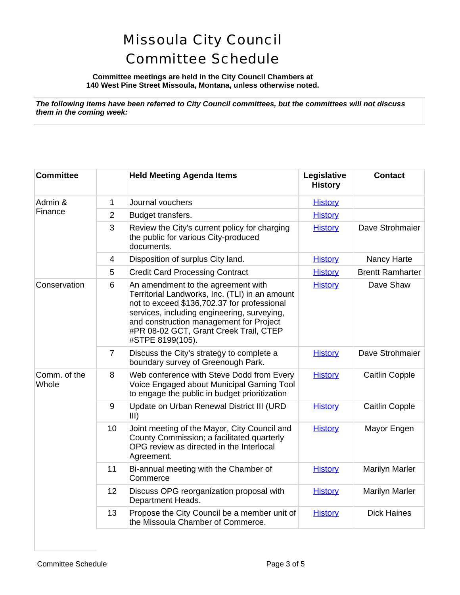**Committee meetings are held in the City Council Chambers at 140 West Pine Street Missoula, Montana, unless otherwise noted.**

*The following items have been referred to City Council committees, but the committees will not discuss them in the coming week:*

| <b>Committee</b>      |                | <b>Held Meeting Agenda Items</b>                                                                                                                                                                                                                                                            | Legislative<br><b>History</b> | <b>Contact</b>          |
|-----------------------|----------------|---------------------------------------------------------------------------------------------------------------------------------------------------------------------------------------------------------------------------------------------------------------------------------------------|-------------------------------|-------------------------|
| Admin &<br>Finance    | $\mathbf{1}$   | Journal vouchers                                                                                                                                                                                                                                                                            | <b>History</b>                |                         |
|                       | $\overline{2}$ | Budget transfers.                                                                                                                                                                                                                                                                           | <b>History</b>                |                         |
|                       | 3              | Review the City's current policy for charging<br>the public for various City-produced<br>documents.                                                                                                                                                                                         | <b>History</b>                | Dave Strohmaier         |
|                       | $\overline{4}$ | Disposition of surplus City land.                                                                                                                                                                                                                                                           | <b>History</b>                | Nancy Harte             |
|                       | 5              | <b>Credit Card Processing Contract</b>                                                                                                                                                                                                                                                      | <b>History</b>                | <b>Brentt Ramharter</b> |
| Conservation          | 6              | An amendment to the agreement with<br>Territorial Landworks, Inc. (TLI) in an amount<br>not to exceed \$136,702.37 for professional<br>services, including engineering, surveying,<br>and construction management for Project<br>#PR 08-02 GCT, Grant Creek Trail, CTEP<br>#STPE 8199(105). | <b>History</b>                | Dave Shaw               |
|                       | $\overline{7}$ | Discuss the City's strategy to complete a<br>boundary survey of Greenough Park.                                                                                                                                                                                                             | <b>History</b>                | Dave Strohmaier         |
| Comm. of the<br>Whole | 8              | Web conference with Steve Dodd from Every<br>Voice Engaged about Municipal Gaming Tool<br>to engage the public in budget prioritization                                                                                                                                                     | <b>History</b>                | Caitlin Copple          |
|                       | 9              | Update on Urban Renewal District III (URD<br>III)                                                                                                                                                                                                                                           | <b>History</b>                | <b>Caitlin Copple</b>   |
|                       | 10             | Joint meeting of the Mayor, City Council and<br>County Commission; a facilitated quarterly<br>OPG review as directed in the Interlocal<br>Agreement.                                                                                                                                        | <b>History</b>                | Mayor Engen             |
|                       | 11             | Bi-annual meeting with the Chamber of<br>Commerce                                                                                                                                                                                                                                           | <b>History</b>                | <b>Marilyn Marler</b>   |
|                       | 12             | Discuss OPG reorganization proposal with<br>Department Heads.                                                                                                                                                                                                                               | <b>History</b>                | <b>Marilyn Marler</b>   |
|                       | 13             | Propose the City Council be a member unit of<br>the Missoula Chamber of Commerce.                                                                                                                                                                                                           | <b>History</b>                | <b>Dick Haines</b>      |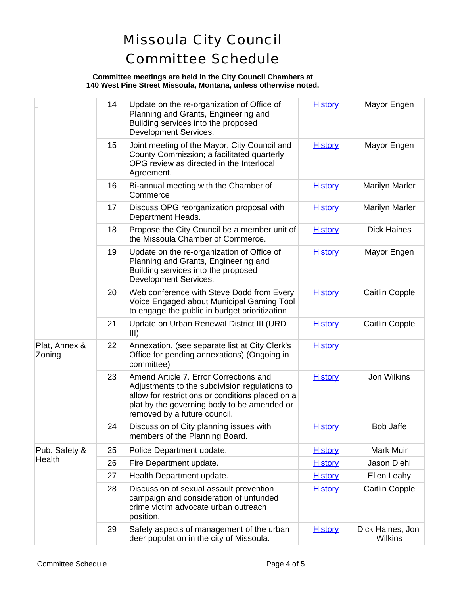#### **Committee meetings are held in the City Council Chambers at 140 West Pine Street Missoula, Montana, unless otherwise noted.**

|                         | 14 | Update on the re-organization of Office of<br>Planning and Grants, Engineering and<br>Building services into the proposed<br>Development Services.                                                                         | <b>History</b> | Mayor Engen                 |
|-------------------------|----|----------------------------------------------------------------------------------------------------------------------------------------------------------------------------------------------------------------------------|----------------|-----------------------------|
|                         | 15 | Joint meeting of the Mayor, City Council and<br>County Commission; a facilitated quarterly<br>OPG review as directed in the Interlocal<br>Agreement.                                                                       | <b>History</b> | Mayor Engen                 |
|                         | 16 | Bi-annual meeting with the Chamber of<br>Commerce                                                                                                                                                                          | <b>History</b> | <b>Marilyn Marler</b>       |
|                         | 17 | Discuss OPG reorganization proposal with<br>Department Heads.                                                                                                                                                              | <b>History</b> | <b>Marilyn Marler</b>       |
|                         | 18 | Propose the City Council be a member unit of<br>the Missoula Chamber of Commerce.                                                                                                                                          | <b>History</b> | <b>Dick Haines</b>          |
|                         | 19 | Update on the re-organization of Office of<br>Planning and Grants, Engineering and<br>Building services into the proposed<br>Development Services.                                                                         | <b>History</b> | Mayor Engen                 |
|                         | 20 | Web conference with Steve Dodd from Every<br>Voice Engaged about Municipal Gaming Tool<br>to engage the public in budget prioritization                                                                                    | <b>History</b> | Caitlin Copple              |
|                         | 21 | Update on Urban Renewal District III (URD<br>III)                                                                                                                                                                          | <b>History</b> | Caitlin Copple              |
| Plat, Annex &<br>Zoning | 22 | Annexation, (see separate list at City Clerk's<br>Office for pending annexations) (Ongoing in<br>committee)                                                                                                                | <b>History</b> |                             |
|                         | 23 | Amend Article 7. Error Corrections and<br>Adjustments to the subdivision regulations to<br>allow for restrictions or conditions placed on a<br>plat by the governing body to be amended or<br>removed by a future council. | <b>History</b> | <b>Jon Wilkins</b>          |
|                         | 24 | Discussion of City planning issues with<br>members of the Planning Board.                                                                                                                                                  | <b>History</b> | <b>Bob Jaffe</b>            |
| Pub. Safety &<br>Health | 25 | Police Department update.                                                                                                                                                                                                  | <b>History</b> | Mark Muir                   |
|                         | 26 | Fire Department update.                                                                                                                                                                                                    | <b>History</b> | <b>Jason Diehl</b>          |
|                         | 27 | Health Department update.                                                                                                                                                                                                  | <b>History</b> | Ellen Leahy                 |
|                         | 28 | Discussion of sexual assault prevention<br>campaign and consideration of unfunded<br>crime victim advocate urban outreach<br>position.                                                                                     | <b>History</b> | <b>Caitlin Copple</b>       |
|                         | 29 | Safety aspects of management of the urban<br>deer population in the city of Missoula.                                                                                                                                      | <b>History</b> | Dick Haines, Jon<br>Wilkins |